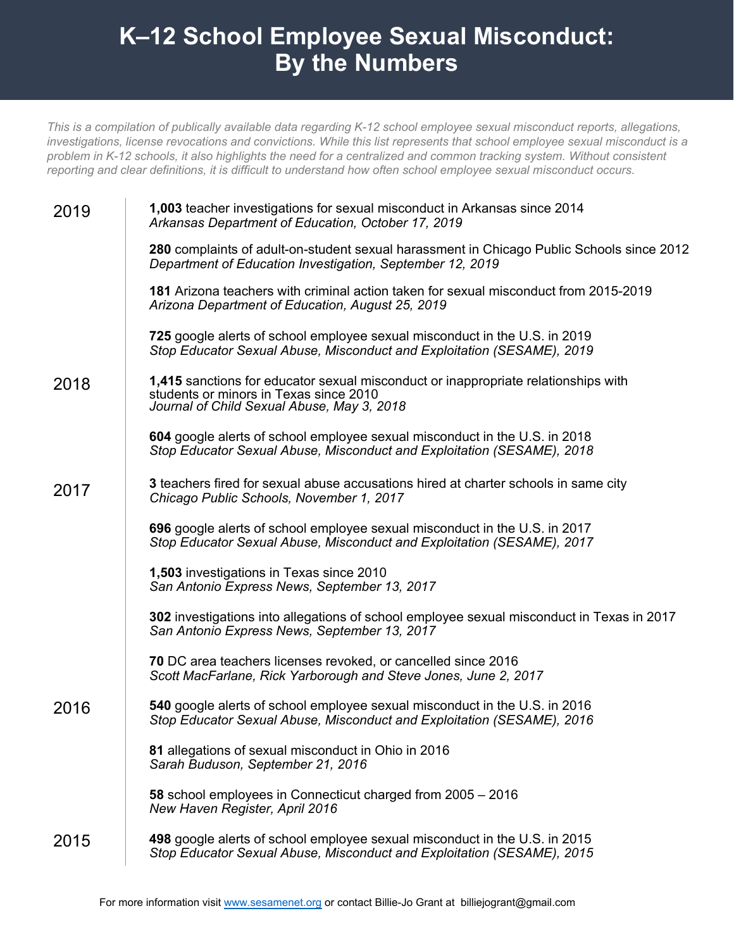## **K–12 School Employee Sexual Misconduct: By the Numbers**

*This is a compilation of publically available data regarding K-12 school employee sexual misconduct reports, allegations, investigations, license revocations and convictions. While this list represents that school employee sexual misconduct is a problem in K-12 schools, it also highlights the need for a centralized and common tracking system. Without consistent reporting and clear definitions, it is difficult to understand how often school employee sexual misconduct occurs.* 

| 2019 | 1,003 teacher investigations for sexual misconduct in Arkansas since 2014<br>Arkansas Department of Education, October 17, 2019                                            |
|------|----------------------------------------------------------------------------------------------------------------------------------------------------------------------------|
|      | 280 complaints of adult-on-student sexual harassment in Chicago Public Schools since 2012<br>Department of Education Investigation, September 12, 2019                     |
|      | 181 Arizona teachers with criminal action taken for sexual misconduct from 2015-2019<br>Arizona Department of Education, August 25, 2019                                   |
|      | 725 google alerts of school employee sexual misconduct in the U.S. in 2019<br>Stop Educator Sexual Abuse, Misconduct and Exploitation (SESAME), 2019                       |
| 2018 | 1,415 sanctions for educator sexual misconduct or inappropriate relationships with<br>students or minors in Texas since 2010<br>Journal of Child Sexual Abuse, May 3, 2018 |
|      | 604 google alerts of school employee sexual misconduct in the U.S. in 2018<br>Stop Educator Sexual Abuse, Misconduct and Exploitation (SESAME), 2018                       |
| 2017 | 3 teachers fired for sexual abuse accusations hired at charter schools in same city<br>Chicago Public Schools, November 1, 2017                                            |
|      | 696 google alerts of school employee sexual misconduct in the U.S. in 2017<br>Stop Educator Sexual Abuse, Misconduct and Exploitation (SESAME), 2017                       |
|      | 1,503 investigations in Texas since 2010<br>San Antonio Express News, September 13, 2017                                                                                   |
|      | 302 investigations into allegations of school employee sexual misconduct in Texas in 2017<br>San Antonio Express News, September 13, 2017                                  |
|      | 70 DC area teachers licenses revoked, or cancelled since 2016<br>Scott MacFarlane, Rick Yarborough and Steve Jones, June 2, 2017                                           |
| 2016 | 540 google alerts of school employee sexual misconduct in the U.S. in 2016<br>Stop Educator Sexual Abuse, Misconduct and Exploitation (SESAME), 2016                       |
|      | 81 allegations of sexual misconduct in Ohio in 2016<br>Sarah Buduson, September 21, 2016                                                                                   |
|      | 58 school employees in Connecticut charged from 2005 - 2016<br>New Haven Register, April 2016                                                                              |
| 2015 | 498 google alerts of school employee sexual misconduct in the U.S. in 2015<br>Stop Educator Sexual Abuse, Misconduct and Exploitation (SESAME), 2015                       |